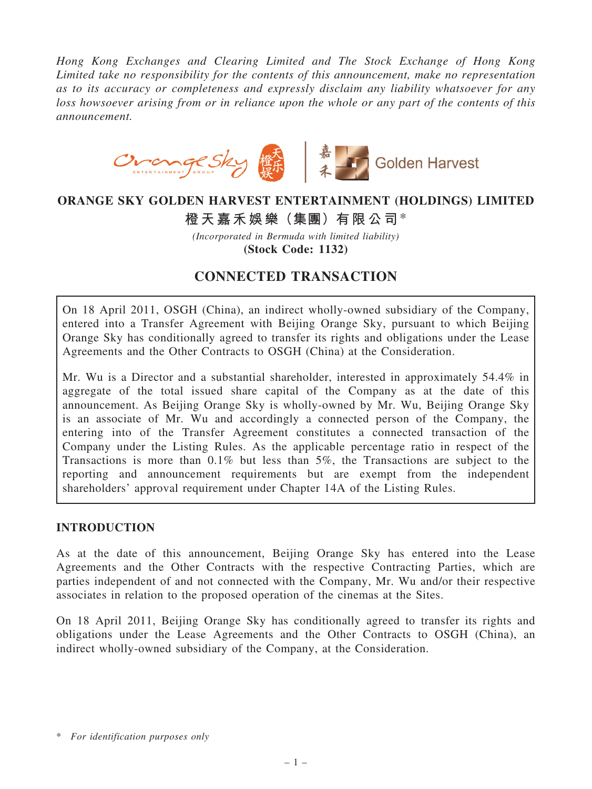Hong Kong Exchanges and Clearing Limited and The Stock Exchange of Hong Kong Limited take no responsibility for the contents of this announcement, make no representation as to its accuracy or completeness and expressly disclaim any liability whatsoever for any loss howsoever arising from or in reliance upon the whole or any part of the contents of this announcement.



# ORANGE SKY GOLDEN HARVEST ENTERTAINMENT (HOLDINGS) LIMITED

# 橙天嘉禾娛樂(集團)有限公司\*

(Incorporated in Bermuda with limited liability) (Stock Code: 1132)

# CONNECTED TRANSACTION

On 18 April 2011, OSGH (China), an indirect wholly-owned subsidiary of the Company, entered into a Transfer Agreement with Beijing Orange Sky, pursuant to which Beijing Orange Sky has conditionally agreed to transfer its rights and obligations under the Lease Agreements and the Other Contracts to OSGH (China) at the Consideration.

Mr. Wu is a Director and a substantial shareholder, interested in approximately 54.4% in aggregate of the total issued share capital of the Company as at the date of this announcement. As Beijing Orange Sky is wholly-owned by Mr. Wu, Beijing Orange Sky is an associate of Mr. Wu and accordingly a connected person of the Company, the entering into of the Transfer Agreement constitutes a connected transaction of the Company under the Listing Rules. As the applicable percentage ratio in respect of the Transactions is more than 0.1% but less than 5%, the Transactions are subject to the reporting and announcement requirements but are exempt from the independent shareholders' approval requirement under Chapter 14A of the Listing Rules.

#### INTRODUCTION

As at the date of this announcement, Beijing Orange Sky has entered into the Lease Agreements and the Other Contracts with the respective Contracting Parties, which are parties independent of and not connected with the Company, Mr. Wu and/or their respective associates in relation to the proposed operation of the cinemas at the Sites.

On 18 April 2011, Beijing Orange Sky has conditionally agreed to transfer its rights and obligations under the Lease Agreements and the Other Contracts to OSGH (China), an indirect wholly-owned subsidiary of the Company, at the Consideration.

<sup>\*</sup> For identification purposes only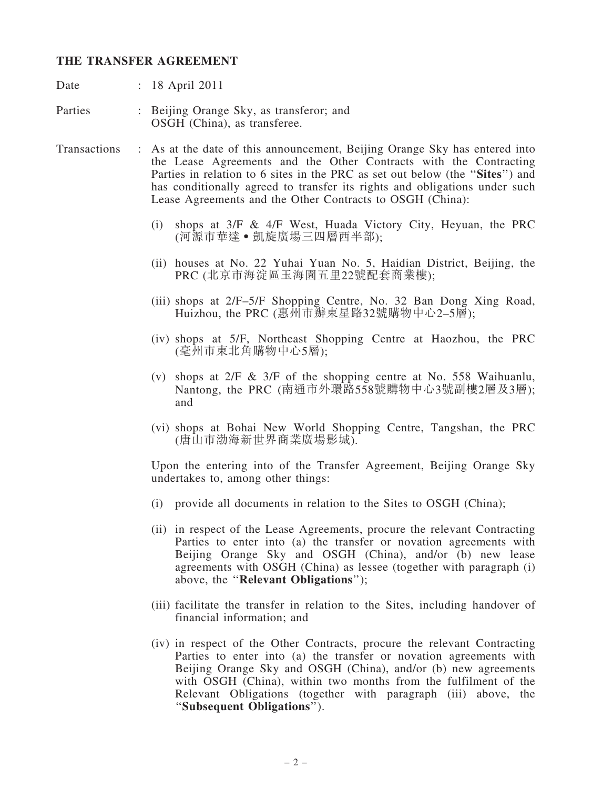#### THE TRANSFER AGREEMENT

Date : 18 April 2011

Parties : Beijing Orange Sky, as transferor; and OSGH (China), as transferee.

- Transactions : As at the date of this announcement, Beijing Orange Sky has entered into the Lease Agreements and the Other Contracts with the Contracting Parties in relation to 6 sites in the PRC as set out below (the "Sites") and has conditionally agreed to transfer its rights and obligations under such Lease Agreements and the Other Contracts to OSGH (China):
	- (i) shops at 3/F & 4/F West, Huada Victory City, Heyuan, the PRC (河源市華達‧凱旋廣場三四層西半部);
	- (ii) houses at No. 22 Yuhai Yuan No. 5, Haidian District, Beijing, the PRC (北京市海淀區玉海園五里22號配套商業樓);
	- (iii) shops at 2/F–5/F Shopping Centre, No. 32 Ban Dong Xing Road, Huizhou, the PRC (惠州市辦東星路32號購物中心2–5層);
	- (iv) shops at 5/F, Northeast Shopping Centre at Haozhou, the PRC (毫州市東北角購物中心5層);
	- (v) shops at  $2/F \& 3/F$  of the shopping centre at No. 558 Waihuanlu, Nantong, the PRC (南通市外環路558號購物中心3號副樓2層及3層); and
	- (vi) shops at Bohai New World Shopping Centre, Tangshan, the PRC (唐山市渤海新世界商業廣場影城).

Upon the entering into of the Transfer Agreement, Beijing Orange Sky undertakes to, among other things:

- (i) provide all documents in relation to the Sites to OSGH (China);
- (ii) in respect of the Lease Agreements, procure the relevant Contracting Parties to enter into (a) the transfer or novation agreements with Beijing Orange Sky and OSGH (China), and/or (b) new lease agreements with OSGH (China) as lessee (together with paragraph (i) above, the ''Relevant Obligations'');
- (iii) facilitate the transfer in relation to the Sites, including handover of financial information; and
- (iv) in respect of the Other Contracts, procure the relevant Contracting Parties to enter into (a) the transfer or novation agreements with Beijing Orange Sky and OSGH (China), and/or (b) new agreements with OSGH (China), within two months from the fulfilment of the Relevant Obligations (together with paragraph (iii) above, the ''Subsequent Obligations'').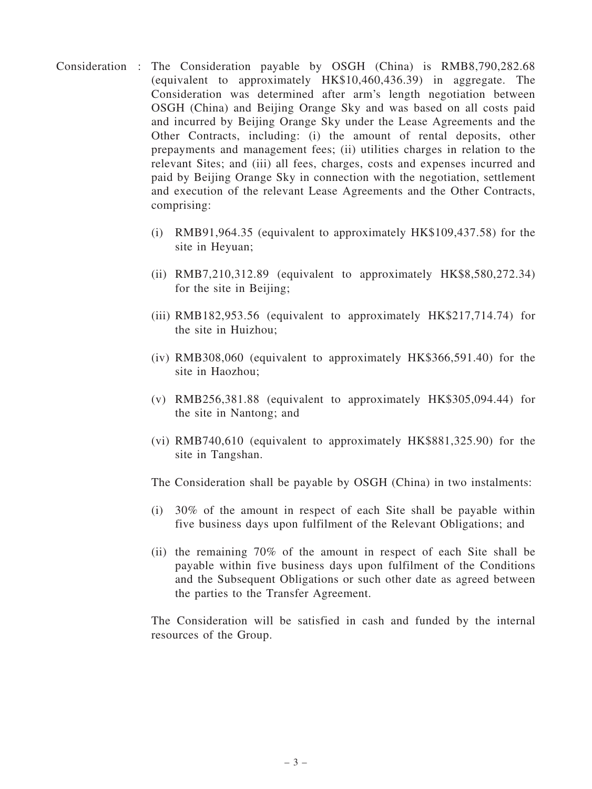- Consideration : The Consideration payable by OSGH (China) is RMB8,790,282.68 (equivalent to approximately HK\$10,460,436.39) in aggregate. The Consideration was determined after arm's length negotiation between OSGH (China) and Beijing Orange Sky and was based on all costs paid and incurred by Beijing Orange Sky under the Lease Agreements and the Other Contracts, including: (i) the amount of rental deposits, other prepayments and management fees; (ii) utilities charges in relation to the relevant Sites; and (iii) all fees, charges, costs and expenses incurred and paid by Beijing Orange Sky in connection with the negotiation, settlement and execution of the relevant Lease Agreements and the Other Contracts, comprising:
	- (i) RMB91,964.35 (equivalent to approximately HK\$109,437.58) for the site in Heyuan;
	- (ii) RMB7,210,312.89 (equivalent to approximately HK\$8,580,272.34) for the site in Beijing;
	- (iii) RMB182,953.56 (equivalent to approximately HK\$217,714.74) for the site in Huizhou;
	- (iv) RMB308,060 (equivalent to approximately HK\$366,591.40) for the site in Haozhou;
	- (v) RMB256,381.88 (equivalent to approximately HK\$305,094.44) for the site in Nantong; and
	- (vi) RMB740,610 (equivalent to approximately HK\$881,325.90) for the site in Tangshan.

The Consideration shall be payable by OSGH (China) in two instalments:

- (i) 30% of the amount in respect of each Site shall be payable within five business days upon fulfilment of the Relevant Obligations; and
- (ii) the remaining 70% of the amount in respect of each Site shall be payable within five business days upon fulfilment of the Conditions and the Subsequent Obligations or such other date as agreed between the parties to the Transfer Agreement.

The Consideration will be satisfied in cash and funded by the internal resources of the Group.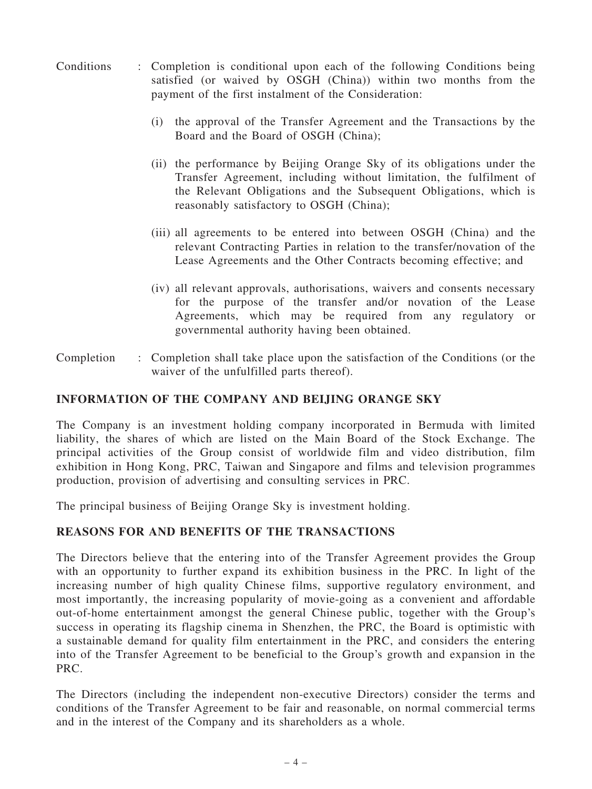- Conditions : Completion is conditional upon each of the following Conditions being satisfied (or waived by OSGH (China)) within two months from the payment of the first instalment of the Consideration:
	- (i) the approval of the Transfer Agreement and the Transactions by the Board and the Board of OSGH (China);
	- (ii) the performance by Beijing Orange Sky of its obligations under the Transfer Agreement, including without limitation, the fulfilment of the Relevant Obligations and the Subsequent Obligations, which is reasonably satisfactory to OSGH (China);
	- (iii) all agreements to be entered into between OSGH (China) and the relevant Contracting Parties in relation to the transfer/novation of the Lease Agreements and the Other Contracts becoming effective; and
	- (iv) all relevant approvals, authorisations, waivers and consents necessary for the purpose of the transfer and/or novation of the Lease Agreements, which may be required from any regulatory or governmental authority having been obtained.
- Completion : Completion shall take place upon the satisfaction of the Conditions (or the waiver of the unfulfilled parts thereof).

## INFORMATION OF THE COMPANY AND BEIJING ORANGE SKY

The Company is an investment holding company incorporated in Bermuda with limited liability, the shares of which are listed on the Main Board of the Stock Exchange. The principal activities of the Group consist of worldwide film and video distribution, film exhibition in Hong Kong, PRC, Taiwan and Singapore and films and television programmes production, provision of advertising and consulting services in PRC.

The principal business of Beijing Orange Sky is investment holding.

#### REASONS FOR AND BENEFITS OF THE TRANSACTIONS

The Directors believe that the entering into of the Transfer Agreement provides the Group with an opportunity to further expand its exhibition business in the PRC. In light of the increasing number of high quality Chinese films, supportive regulatory environment, and most importantly, the increasing popularity of movie-going as a convenient and affordable out-of-home entertainment amongst the general Chinese public, together with the Group's success in operating its flagship cinema in Shenzhen, the PRC, the Board is optimistic with a sustainable demand for quality film entertainment in the PRC, and considers the entering into of the Transfer Agreement to be beneficial to the Group's growth and expansion in the PRC.

The Directors (including the independent non-executive Directors) consider the terms and conditions of the Transfer Agreement to be fair and reasonable, on normal commercial terms and in the interest of the Company and its shareholders as a whole.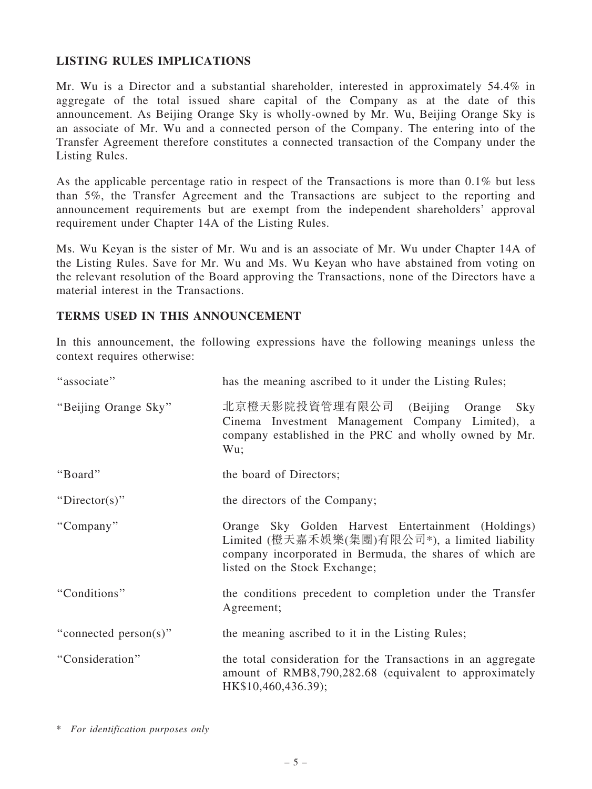## LISTING RULES IMPLICATIONS

Mr. Wu is a Director and a substantial shareholder, interested in approximately 54.4% in aggregate of the total issued share capital of the Company as at the date of this announcement. As Beijing Orange Sky is wholly-owned by Mr. Wu, Beijing Orange Sky is an associate of Mr. Wu and a connected person of the Company. The entering into of the Transfer Agreement therefore constitutes a connected transaction of the Company under the Listing Rules.

As the applicable percentage ratio in respect of the Transactions is more than 0.1% but less than 5%, the Transfer Agreement and the Transactions are subject to the reporting and announcement requirements but are exempt from the independent shareholders' approval requirement under Chapter 14A of the Listing Rules.

Ms. Wu Keyan is the sister of Mr. Wu and is an associate of Mr. Wu under Chapter 14A of the Listing Rules. Save for Mr. Wu and Ms. Wu Keyan who have abstained from voting on the relevant resolution of the Board approving the Transactions, none of the Directors have a material interest in the Transactions.

### TERMS USED IN THIS ANNOUNCEMENT

In this announcement, the following expressions have the following meanings unless the context requires otherwise:

| "associate"           | has the meaning ascribed to it under the Listing Rules;                                                                                                                                           |
|-----------------------|---------------------------------------------------------------------------------------------------------------------------------------------------------------------------------------------------|
| "Beijing Orange Sky"  | 北京橙天影院投資管理有限公司<br>(Beijing Orange)<br>Sky<br>Cinema Investment Management Company Limited), a<br>company established in the PRC and wholly owned by Mr.<br>Wu;                                    |
| "Board"               | the board of Directors;                                                                                                                                                                           |
| "Director(s)"         | the directors of the Company;                                                                                                                                                                     |
| "Company"             | Orange Sky Golden Harvest Entertainment (Holdings)<br>Limited (橙天嘉禾娛樂(集團)有限公司*), a limited liability<br>company incorporated in Bermuda, the shares of which are<br>listed on the Stock Exchange; |
| "Conditions"          | the conditions precedent to completion under the Transfer<br>Agreement;                                                                                                                           |
| "connected person(s)" | the meaning ascribed to it in the Listing Rules;                                                                                                                                                  |
| "Consideration"       | the total consideration for the Transactions in an aggregate<br>amount of RMB8,790,282.68 (equivalent to approximately<br>HK\$10,460,436.39);                                                     |

<sup>\*</sup> For identification purposes only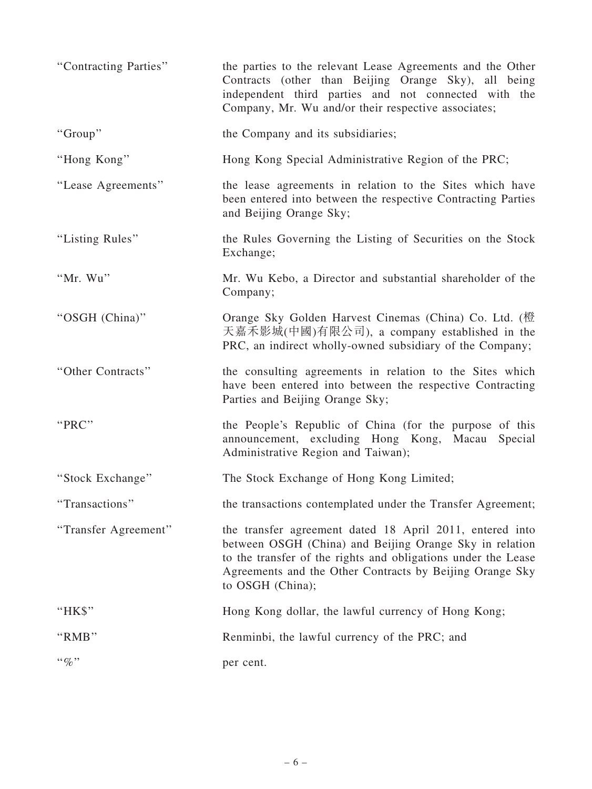| "Contracting Parties" | the parties to the relevant Lease Agreements and the Other<br>Contracts (other than Beijing Orange Sky), all being<br>independent third parties and not connected with the<br>Company, Mr. Wu and/or their respective associates;                                    |
|-----------------------|----------------------------------------------------------------------------------------------------------------------------------------------------------------------------------------------------------------------------------------------------------------------|
| "Group"               | the Company and its subsidiaries;                                                                                                                                                                                                                                    |
| "Hong Kong"           | Hong Kong Special Administrative Region of the PRC;                                                                                                                                                                                                                  |
| "Lease Agreements"    | the lease agreements in relation to the Sites which have<br>been entered into between the respective Contracting Parties<br>and Beijing Orange Sky;                                                                                                                  |
| "Listing Rules"       | the Rules Governing the Listing of Securities on the Stock<br>Exchange;                                                                                                                                                                                              |
| "Mr. Wu"              | Mr. Wu Kebo, a Director and substantial shareholder of the<br>Company;                                                                                                                                                                                               |
| "OSGH (China)"        | Orange Sky Golden Harvest Cinemas (China) Co. Ltd. (橙<br>天嘉禾影城(中國)有限公司), a company established in the<br>PRC, an indirect wholly-owned subsidiary of the Company;                                                                                                    |
| "Other Contracts"     | the consulting agreements in relation to the Sites which<br>have been entered into between the respective Contracting<br>Parties and Beijing Orange Sky;                                                                                                             |
| "PRC"                 | the People's Republic of China (for the purpose of this<br>announcement, excluding Hong Kong, Macau<br>Special<br>Administrative Region and Taiwan);                                                                                                                 |
| "Stock Exchange"      | The Stock Exchange of Hong Kong Limited;                                                                                                                                                                                                                             |
| "Transactions"        | the transactions contemplated under the Transfer Agreement;                                                                                                                                                                                                          |
| "Transfer Agreement"  | the transfer agreement dated 18 April 2011, entered into<br>between OSGH (China) and Beijing Orange Sky in relation<br>to the transfer of the rights and obligations under the Lease<br>Agreements and the Other Contracts by Beijing Orange Sky<br>to OSGH (China); |
| "HK\$"                | Hong Kong dollar, the lawful currency of Hong Kong;                                                                                                                                                                                                                  |
| "RMB"                 | Renminbi, the lawful currency of the PRC; and                                                                                                                                                                                                                        |
| $``\%"$               | per cent.                                                                                                                                                                                                                                                            |